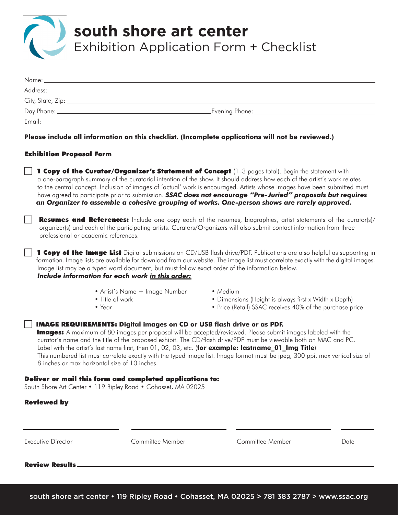

Exhibition Application Form + Checklist

| Email: |  |
|--------|--|

**Please include all information on this checklist. (Incomplete applications will not be reviewed.)**

### Exhibition Proposal Form

1 Copy of the Curator/Organizer's Statement of Concept (1-3 pages total). Begin the statement with a one-paragraph summary of the curatorial intention of the show. It should address how each of the artist's work relates to the central concept. Inclusion of images of 'actual' work is encouraged. Artists whose images have been submitted must have agreed to participate prior to submission. *SSAC does not encourage "Pre-Juried" proposals but requires an Organizer to assemble a cohesive grouping of works. One-person shows are rarely approved.*

Resumes and References: Include one copy each of the resumes, biographies, artist statements of the curator(s)/ organizer(s) and each of the participating artists. Curators/Organizers will also submit contact information from three professional or academic references.

1 Copy of the Image List Digital submissions on CD/USB flash drive/PDF. Publications are also helpful as supporting in formation. Image lists are available for download from our website. The image list must correlate exactly with the digital images. Image list may be a typed word document, but must follow exact order of the information below. *Include information for each work in this order:*

- Artist's Name + Image Number Medium
- 
- 
- 
- Title of work Dimensions (Height is always first x Width x Depth)
- Year Price (Retail) SSAC receives 40% of the purchase price.

### **IMAGE REQUIREMENTS:** Digital images on CD or USB flash drive or as PDF.

**Images:** A maximum of 80 images per proposal will be accepted/reviewed. Please submit images labeled with the curator's name and the title of the proposed exhibit. The CD/flash drive/PDF must be viewable both on MAC and PC. Label with the artist's last name first, then 01, 02, 03, etc. (for example: lastname 01 lmg Title) This numbered list must correlate exactly with the typed image list. Image format must be jpeg, 300 ppi, max vertical size of 8 inches or max horizontal size of 10 inches.

### Deliver or mail this form and completed applications to:

South Shore Art Center • 119 Ripley Road • Cohasset, MA 02025

### Reviewed by

Executive Director Committee Member Committee Member Date

Review Results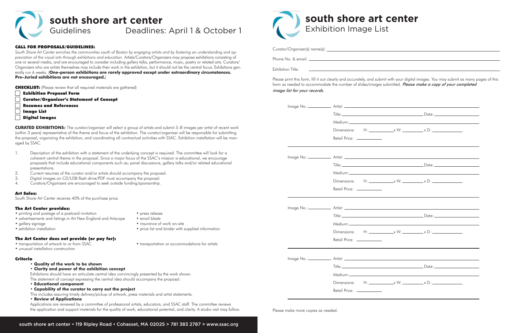**south shore art center** Exhibition Image List

| Curator/Organizer(s) name(s): |  |
|-------------------------------|--|
|                               |  |

Phone No. & email:

Exhibition Title:

Please print this form, fill it out clearly and accurately, and submit with your digital images. You may submit as many pages of this form as needed to accommodate the number of slides/images submitted. Please make a copy of your completed image list for your records.

|  |                            |  | Dimensions: $H:$ $x W:$ $x D:$                                                                                                                                                                                                                                                                                    |  |  |
|--|----------------------------|--|-------------------------------------------------------------------------------------------------------------------------------------------------------------------------------------------------------------------------------------------------------------------------------------------------------------------|--|--|
|  | Retail Price: ___________  |  |                                                                                                                                                                                                                                                                                                                   |  |  |
|  |                            |  |                                                                                                                                                                                                                                                                                                                   |  |  |
|  |                            |  |                                                                                                                                                                                                                                                                                                                   |  |  |
|  |                            |  |                                                                                                                                                                                                                                                                                                                   |  |  |
|  |                            |  | Dimensions: $H:$ $\frac{1}{2}$ $\frac{1}{2}$ $\frac{1}{2}$ $\frac{1}{2}$ $\frac{1}{2}$ $\frac{1}{2}$ $\frac{1}{2}$ $\frac{1}{2}$ $\frac{1}{2}$ $\frac{1}{2}$ $\frac{1}{2}$ $\frac{1}{2}$ $\frac{1}{2}$ $\frac{1}{2}$ $\frac{1}{2}$ $\frac{1}{2}$ $\frac{1}{2}$ $\frac{1}{2}$ $\frac{1}{2}$ $\frac{1}{2}$ $\frac{$ |  |  |
|  | Retail Price: ____________ |  |                                                                                                                                                                                                                                                                                                                   |  |  |
|  |                            |  |                                                                                                                                                                                                                                                                                                                   |  |  |
|  |                            |  |                                                                                                                                                                                                                                                                                                                   |  |  |
|  |                            |  |                                                                                                                                                                                                                                                                                                                   |  |  |
|  |                            |  |                                                                                                                                                                                                                                                                                                                   |  |  |
|  | Retail Price: ___________  |  |                                                                                                                                                                                                                                                                                                                   |  |  |
|  |                            |  |                                                                                                                                                                                                                                                                                                                   |  |  |
|  |                            |  |                                                                                                                                                                                                                                                                                                                   |  |  |
|  |                            |  |                                                                                                                                                                                                                                                                                                                   |  |  |
|  |                            |  | Dimensions: $H:$ $\frac{1}{2}$ $\frac{1}{2}$ $\frac{1}{2}$ $\frac{1}{2}$ $\frac{1}{2}$ $\frac{1}{2}$ $\frac{1}{2}$ $\frac{1}{2}$ $\frac{1}{2}$ $\frac{1}{2}$ $\frac{1}{2}$ $\frac{1}{2}$ $\frac{1}{2}$ $\frac{1}{2}$ $\frac{1}{2}$ $\frac{1}{2}$ $\frac{1}{2}$ $\frac{1}{2}$ $\frac{1}{2}$ $\frac{1}{2}$ $\frac{$ |  |  |
|  | Retail Price: ___________  |  |                                                                                                                                                                                                                                                                                                                   |  |  |



## Guidelines Deadlines: April 1 & October 1

### CALL FOR PROPOSALS/GUIDELINES:

- **Exhibition Proposal Form**
- **Curator/Organizer's Statement of Concept**
- **Resumes and References**
- **Image List**
- c Digital Images

*South Shore Art Center enriches the communities south of Boston by engaging artists and by fostering an understanding and appreciation of the visual arts through exhibitions and education.* Artists/Curators/Organizers may propose exhibitions consisting of one or several media, and are encouraged to consider including gallery talks, performance, music, poetry or related arts. Curators/ Organizers who are artists themselves may include their work in the exhibition, but it should not be the central focus. Exhibitions generally run 6 weeks. (**One-person exhibitions are rarely approved except under extraordinary circumstances. Pre-Juried exhibitions are not encouraged.**)

CHECKLIST: (Please review that all required materials are gathered)

**CURATED EXHIBITIONS:** The curator/organizer will select a group of artists and submit 3–8 images per artist of recent work (within 3 years) representative of the theme and focus of the exhibition. The curator/organizer will be responsible for submitting the proposal, organizing the exhibition, and coordinating all contractual activities with SSAC. Exhibition installation will be managed by SSAC.

- 1. Description of the exhibition with a statement of the underlying concept is required. The committee will look for a coherent central theme in the proposal. Since a major focus of the SSAC's mission is educational, we encourage proposals that include educational components such as; panel discussions, gallery talks and/or related educational presentations.
- 2. Current resumes of the curator and/or artists should accompany the proposal.
- 3. Digital images on CD/USB flash drive/PDF must accompany the proposal.
- 4. Curators/Organizers are encouraged to seek outside funding/sponsorship.

### Art Sales:

South Shore Art Center receives 40% of the purchase price.

### The Art Center provides:

- printing and postage of a postcard invitation press release
- advertisements and listings in Art New England and Artscope email blasts
- gallery signage insurance of work on-site
- exhibition installation price list and binder with supplied information

### The Art Center does not provide (or pay for):

- transportation of artwork to or from SSAC transportation or accommodations for artists
- unusual installation construction

### Criteria

- **Quality of the work to be shown**
- **Clarity and power of the exhibition concept**

Exhibitions should have an articulate central idea convincingly presented by the work shown.

The statement of concept expressing the central idea should accompany the proposal.

- **Educational component**
- **Capability of the curator to carry out the project**
- This includes assuring timely delivery/pickup of artwork, press materials and artist statements.
- **Review of Applications**

Applications are reviewed by a committee of professional artists, educators, and SSAC staff. The committee reviews the application and support materials for the quality of work, educational potential, and clarity. A studio visit may follow.

|  |  | Please make more copies as needed. |
|--|--|------------------------------------|
|  |  |                                    |